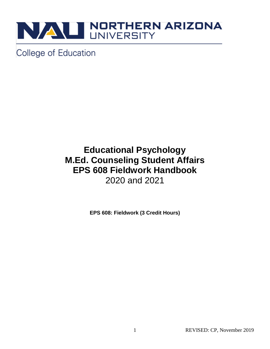

College of Education

## **Educational Psychology M.Ed. Counseling Student Affairs EPS 608 Fieldwork Handbook** 2020 and 2021

**EPS 608: Fieldwork (3 Credit Hours)**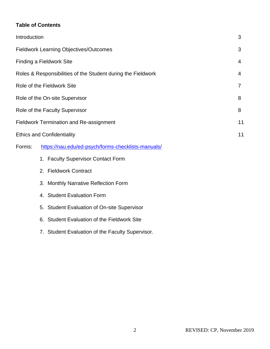#### **Table of Contents**

| Introduction                                                 |                                                    |                                                  | 3              |
|--------------------------------------------------------------|----------------------------------------------------|--------------------------------------------------|----------------|
| <b>Fieldwork Learning Objectives/Outcomes</b>                |                                                    |                                                  | 3              |
| <b>Finding a Fieldwork Site</b>                              |                                                    |                                                  | 4              |
| Roles & Responsibilities of the Student during the Fieldwork |                                                    |                                                  | 4              |
| Role of the Fieldwork Site                                   |                                                    |                                                  | $\overline{7}$ |
| Role of the On-site Supervisor                               |                                                    |                                                  | 8              |
| Role of the Faculty Supervisor                               |                                                    |                                                  | 8              |
| <b>Fieldwork Termination and Re-assignment</b>               |                                                    |                                                  | 11             |
| <b>Ethics and Confidentiality</b>                            |                                                    |                                                  | 11             |
| Forms:                                                       | https://nau.edu/ed-psych/forms-checklists-manuals/ |                                                  |                |
|                                                              |                                                    | 1. Faculty Supervisor Contact Form               |                |
|                                                              |                                                    | 2. Fieldwork Contract                            |                |
|                                                              |                                                    | 3. Monthly Narrative Reflection Form             |                |
|                                                              |                                                    | 4. Student Evaluation Form                       |                |
|                                                              | 5.                                                 | <b>Student Evaluation of On-site Supervisor</b>  |                |
|                                                              | 6.                                                 | <b>Student Evaluation of the Fieldwork Site</b>  |                |
|                                                              |                                                    | 7. Student Evaluation of the Faculty Supervisor. |                |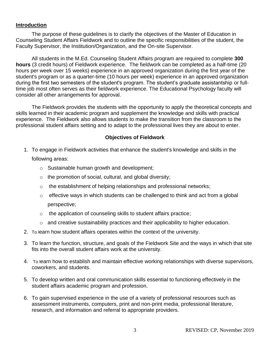#### **Introduction**

The purpose of these guidelines is to clarify the objectives of the Master of Education in Counseling Student Affairs Fieldwork and to outline the specific responsibilities of the student, the Faculty Supervisor, the Institution/Organization, and the On-site Supervisor.

All students in the M.Ed. Counseling Student Affairs program are required to complete **300 hours** (3 credit hours) of Fieldwork experience. The fieldwork can be completed as a half-time (20 hours per week over 15 weeks) experience in an approved organization during the first year of the student's program or as a quarter-time (10 hours per week) experience in an approved organization during the first two semesters of the student's program. The student's graduate assistantship or fulltime job most often serves as their fieldwork experience. The Educational Psychology faculty will consider all other arrangements for approval.

The Fieldwork provides the students with the opportunity to apply the theoretical concepts and skills learned in their academic program and supplement the knowledge and skills with practical experience. The Fieldwork also allows students to make the transition from the classroom to the professional student affairs setting and to adapt to the professional lives they are about to enter.

#### **Objectives of Fieldwork**

- 1. To engage in Fieldwork activities that enhance the student's knowledge and skills in the following areas:
	- o Sustainable human growth and development;
	- $\circ$  the promotion of social, cultural, and global diversity;
	- o the establishment of helping relationships and professional networks;
	- $\circ$  effective ways in which students can be challenged to think and act from a global perspective;
	- o the application of counseling skills to student affairs practice;
	- o and creative sustainability practices and their applicability to higher education.
- 2. To learn how student affairs operates within the context of the university.
- 3. To learn the function, structure, and goals of the Fieldwork Site and the ways in which that site fits into the overall student affairs work at the university.
- 4. To learn how to establish and maintain effective working relationships with diverse supervisors, coworkers, and students.
- 5. To develop written and oral communication skills essential to functioning effectively in the student affairs academic program and profession.
- 6. To gain supervised experience in the use of a variety of professional resources such as assessment instruments, computers, print and non-print media, professional literature, research, and information and referral to appropriate providers.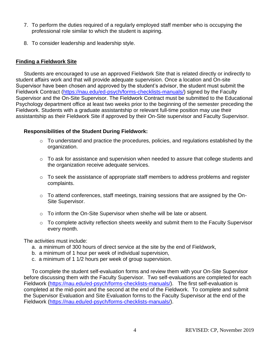- 7. To perform the duties required of a regularly employed staff member who is occupying the professional role similar to which the student is aspiring.
- 8. To consider leadership and leadership style.

#### **Finding a Fieldwork Site**

Students are encouraged to use an approved Fieldwork Site that is related directly or indirectly to student affairs work and that will provide adequate supervision. Once a location and On-site Supervisor have been chosen and approved by the student's advisor, the student must submit the Fieldwork Contract [\(https://nau.edu/ed-psych/forms-checklists-manuals/\)](https://nau.edu/ed-psych/forms-checklists-manuals/) signed by the Faculty Supervisor and the On-Site Supervisor. The Fieldwork Contract must be submitted to the Educational Psychology department office at least two weeks prior to the beginning of the semester preceding the Fieldwork. Students with a graduate assistantship or relevant full-time position may use their assistantship as their Fieldwork Site if approved by their On-Site supervisor and Faculty Supervisor.

#### **Responsibilities of the Student During Fieldwork:**

- o To understand and practice the procedures, policies, and regulations established by the organization.
- $\circ$  To ask for assistance and supervision when needed to assure that college students and the organization receive adequate services.
- o To seek the assistance of appropriate staff members to address problems and register complaints.
- o To attend conferences, staff meetings, training sessions that are assigned by the On-Site Supervisor.
- o To inform the On-Site Supervisor when she/he will be late or absent.
- o To complete activity reflection sheets weekly and submit them to the Faculty Supervisor every month.

The activities must include:

- a. a minimum of 300 hours of direct service at the site by the end of Fieldwork,
- b. a minimum of 1 hour per week of individual supervision,
- c. a minimum of 1 1/2 hours per week of group supervision.

To complete the student self-evaluation forms and review them with your On-Site Supervisor before discussing them with the Faculty Supervisor. Two self-evaluations are completed for each Fieldwork [\(https://nau.edu/ed-psych/forms-checklists-manuals/\)](https://nau.edu/ed-psych/forms-checklists-manuals/). The first self-evaluation is completed at the mid-point and the second at the end of the Fieldwork. To complete and submit the Supervisor Evaluation and Site Evaluation forms to the Faculty Supervisor at the end of the Fieldwork [\(https://nau.edu/ed-psych/forms-checklists-manuals/\)](https://nau.edu/ed-psych/forms-checklists-manuals/).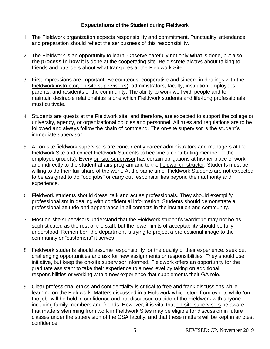#### **Expectations of the Student during Fieldwork**

- 1. The Fieldwork organization expects responsibility and commitment. Punctuality, attendance and preparation should reflect the seriousness of this responsibility.
- 2. The Fieldwork is an opportunity to learn. Observe carefully not only **what** is done, but also **the process in how** it is done at the cooperating site. Be discrete always about talking to friends and outsiders about what transpires at the Fieldwork Site.
- 3. First impressions are important. Be courteous, cooperative and sincere in dealings with the Fieldwork instructor, on-site supervisor(s), administrators, faculty, institution employees, parents, and residents of the community. The ability to work well with people and to maintain desirable relationships is one which Fieldwork students and life-long professionals must cultivate.
- 4. Students are guests at the Fieldwork site; and therefore, are expected to support the college or university, agency, or organizational policies and personnel. All rules and regulations are to be followed and always follow the chain of command. The on-site supervisor is the student's immediate supervisor.
- 5. All on-site fieldwork supervisors are concurrently career administrators and managers at the Fieldwork Site and expect Fieldwork Students to become a contributing member of the employee group(s). Every on-site supervisor has certain obligations at his/her place of work, and indirectly to the student affairs program and to the fieldwork instructor. Students must be willing to do their fair share of the work. At the same time, Fieldwork Students are not expected to be assigned to do "odd jobs" or carry out responsibilities beyond their authority and experience.
- 6. Fieldwork students should dress, talk and act as professionals. They should exemplify professionalism in dealing with confidential information. Students should demonstrate a professional attitude and appearance in all contacts in the institution and community.
- 7. Most on-site supervisor*s* understand that the Fieldwork student's wardrobe may not be as sophisticated as the rest of the staff, but the lower limits of acceptability should be fully understood. Remember, the department is trying to project a professional image to the community or "customers" it serves.
- 8. Fieldwork students should assume responsibility for the quality of their experience, seek out challenging opportunities and ask for new assignments or responsibilities. They should use initiative, but keep the on-site supervisor informed. Fieldwork offers an opportunity for the graduate assistant to take their experience to a new level by taking on additional responsibilities or working with a new experience that supplements their GA role.
- 9. Clear professional ethics and confidentiality is critical to free and frank discussions while learning on the Fieldwork. Matters discussed in a Fieldwork which stem from events while "on the job" will be held in confidence and not discussed outside of the Fieldwork with anyone including family members and friends. However, it is vital that on-site supervisors be aware that matters stemming from work in Fieldwork Sites may be eligible for discussion in future classes under the supervision of the CSA faculty, and that these matters will be kept in strictest confidence.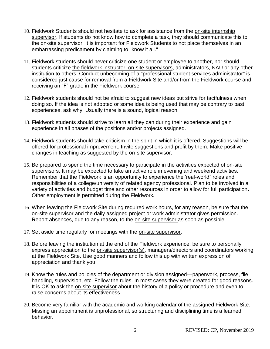- 10. Fieldwork Students should not hesitate to ask for assistance from the on-site internship supervisor. If students do not know how to complete a task, they should communicate this to the on-site supervisor. It is important for Fieldwork Students to not place themselves in an embarrassing predicament by claiming to "know it all."
- 11. Fieldwork students should never criticize one student or employee to another, nor should students criticize the fieldwork instructor, on-site supervisors, administrators, NAU or any other institution to others. Conduct unbecoming of a "professional student services administrator" is considered just cause for removal from a Fieldwork Site and/or from the Fieldwork course and receiving an "F" grade in the Fieldwork course.
- 12. Fieldwork students should not be afraid to suggest new ideas but strive for tactfulness when doing so. If the idea is not adopted or some idea is being used that may be contrary to past experiences, ask why. Usually there is a sound, logical reason.
- 13. Fieldwork students should strive to learn all they can during their experience and gain experience in all phases of the positions and/or projects assigned.
- 14. Fieldwork students should take criticism in the spirit in which it is offered. Suggestions will be offered for professional improvement. Invite suggestions and profit by them. Make positive changes in teaching as suggested by the on-site supervisor.
- 15. Be prepared to spend the time necessary to participate in the activities expected of on-site supervisors. It may be expected to take an active role in evening and weekend activities. Remember that the Fieldwork is an opportunity to experience the 'real-world" roles and responsibilities of a college/university of related agency professional. Plan to be involved in a variety of activities and budget time and other resources in order to allow for full participation**.**  Other employment is permitted during the Fieldwork**.**
- 16. When leaving the Fieldwork Site during required work hours, for any reason, be sure that the on-site supervisor and the daily assigned project or work administrator gives permission. Report absences, due to any reason, to the on-site supervisor as soon as possible.
- 17. Set aside time regularly for meetings with the on-site supervisor.
- 18. Before leaving the institution at the end of the Fieldwork experience, be sure to personally express appreciation to the on-site supervisor(s), managers/directors and coordinators working at the Fieldwork Site. Use good manners and follow this up with written expression of appreciation and thank you.
- 19. Know the rules and policies of the department or division assigned—paperwork, process, file handling, supervision, etc. Follow the rules. In most cases they were created for good reasons. It is OK to ask the on-site supervisor about the history of a policy or procedure and even to raise concerns about its effectiveness.
- 20. Become very familiar with the academic and working calendar of the assigned Fieldwork Site. Missing an appointment is unprofessional, so structuring and disciplining time is a learned behavior.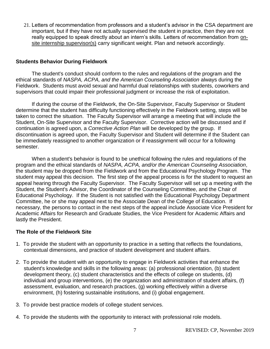21. Letters of recommendation from professors and a student's advisor in the CSA department are important, but if they have not actually supervised the student in practice, then they are not really equipped to speak directly about an intern's skills. Letters of recommendation from onsite internship supervisor(s) carry significant weight. Plan and network accordingly.

#### **Students Behavior During Fieldwork**

The student's conduct should conform to the rules and regulations of the program and the ethical standards of *NASPA, ACPA, and the American Counseling Association* always during the Fieldwork. Students must avoid sexual and harmful dual relationships with students, coworkers and supervisors that could impair their professional judgment or increase the risk of exploitation.

If during the course of the Fieldwork, the On-Site Supervisor, Faculty Supervisor or Student determine that the student has difficulty functioning effectively in the Fieldwork setting, steps will be taken to correct the situation. The Faculty Supervisor will arrange a meeting that will include the Student, On-Site Supervisor and the Faculty Supervisor. Corrective action will be discussed and if continuation is agreed upon, a *Corrective Action Plan* will be developed by the group. If discontinuation is agreed upon, the Faculty Supervisor and Student will determine if the Student can be immediately reassigned to another organization or if reassignment will occur for a following semester.

When a student's behavior is found to be unethical following the rules and regulations of the program and the ethical standards of *NASPA, ACPA, and/or the American Counseling Association*, the student may be dropped from the Fieldwork and from the Educational Psychology Program. The student may appeal this decision. The first step of the appeal process is for the student to request an appeal hearing through the Faculty Supervisor. The Faculty Supervisor will set up a meeting with the Student, the Student's Advisor, the Coordinator of the Counseling Committee, and the Chair of Educational Psychology. If the Student is not satisfied with the Educational Psychology Department Committee, he or she may appeal next to the Associate Dean of the College of Education. If necessary, the persons to contact in the next steps of the appeal include Associate Vice President for Academic Affairs for Research and Graduate Studies, the Vice President for Academic Affairs and lastly the President.

#### **The Role of the Fieldwork Site**

- 1. To provide the student with an opportunity to practice in a setting that reflects the foundations, contextual dimensions, and practice of student development and student affairs.
- 2. To provide the student with an opportunity to engage in Fieldwork activities that enhance the student's knowledge and skills in the following areas: (a) professional orientation, (b) student development theory, (c) student characteristics and the effects of college on students, (d) individual and group interventions, (e) the organization and administration of student affairs, (f) assessment, evaluation, and research practices, (g) working effectively within a diverse environment, (h) fostering sustainable institutions, and (i) global engagement.
- 3. To provide best practice models of college student services.
- 4. To provide the students with the opportunity to interact with professional role models.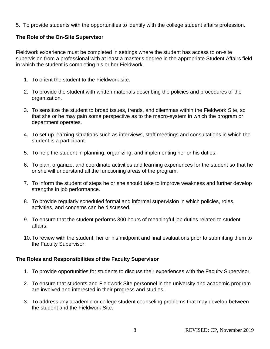5. To provide students with the opportunities to identify with the college student affairs profession.

#### **The Role of the On-Site Supervisor**

Fieldwork experience must be completed in settings where the student has access to on-site supervision from a professional with at least a master's degree in the appropriate Student Affairs field in which the student is completing his or her Fieldwork.

- 1. To orient the student to the Fieldwork site.
- 2. To provide the student with written materials describing the policies and procedures of the organization.
- 3. To sensitize the student to broad issues, trends, and dilemmas within the Fieldwork Site, so that she or he may gain some perspective as to the macro-system in which the program or department operates.
- 4. To set up learning situations such as interviews, staff meetings and consultations in which the student is a participant.
- 5. To help the student in planning, organizing, and implementing her or his duties.
- 6. To plan, organize, and coordinate activities and learning experiences for the student so that he or she will understand all the functioning areas of the program.
- 7. To inform the student of steps he or she should take to improve weakness and further develop strengths in job performance.
- 8. To provide regularly scheduled formal and informal supervision in which policies, roles, activities, and concerns can be discussed.
- 9. To ensure that the student performs 300 hours of meaningful job duties related to student affairs.
- 10.To review with the student, her or his midpoint and final evaluations prior to submitting them to the Faculty Supervisor.

#### **The Roles and Responsibilities of the Faculty Supervisor**

- 1. To provide opportunities for students to discuss their experiences with the Faculty Supervisor.
- 2. To ensure that students and Fieldwork Site personnel in the university and academic program are involved and interested in their progress and studies.
- 3. To address any academic or college student counseling problems that may develop between the student and the Fieldwork Site.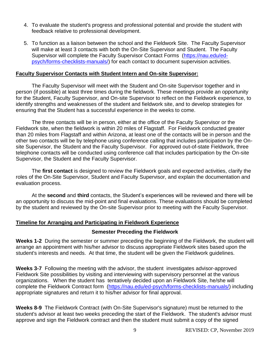- 4. To evaluate the student's progress and professional potential and provide the student with feedback relative to professional development.
- 5. To function as a liaison between the school and the Fieldwork Site. The Faculty Supervisor will make at least 3 contacts with both the On-Site Supervisor and Student. The Faculty Supervisor will complete the Faculty Supervisor Contact Forms [\(https://nau.edu/ed](https://nau.edu/ed-psych/forms-checklists-manuals/)[psych/forms-checklists-manuals/\)](https://nau.edu/ed-psych/forms-checklists-manuals/) for each contact to document supervision activities.

#### **Faculty Supervisor Contacts with Student Intern and On-site Supervisor:**

The Faculty Supervisor will meet with the Student and On-site Supervisor together and in person (if possible) at least three times during the fieldwork. These meetings provide an opportunity for the Student, Faculty Supervisor, and On-site Supervisor to reflect on the Fieldwork experience, to identify strengths and weaknesses of the student and fieldwork site, and to develop strategies for ensuring that the Student has a successful experience in the weeks to come.

The three contacts will be in person, either at the office of the Faculty Supervisor or the Fieldwork site, when the fieldwork is within 20 miles of Flagstaff. For Fieldwork conducted greater than 20 miles from Flagstaff and within Arizona, at least one of the contacts will be in person and the other two contacts will be by telephone using conference calling that includes participation by the Onsite Supervisor, the Student and the Faculty Supervisor. For approved out-of-state Fieldwork, three telephone contacts will be conducted using conference call that includes participation by the On-site Supervisor, the Student and the Faculty Supervisor.

The **first contact** is designed to review the Fieldwork goals and expected activities, clarify the roles of the On-Site Supervisor, Student and Faculty Supervisor, and explain the documentation and evaluation process.

At the **second** and **third** contacts, the Student's experiences will be reviewed and there will be an opportunity to discuss the mid-point and final evaluations. These evaluations should be completed by the student and reviewed by the On-site Supervisor prior to meeting with the Faculty Supervisor.

#### **Timeline for Arranging and Participating in Fieldwork Experience**

#### **Semester Preceding the Fieldwork**

**Weeks 1-2**During the semester or summer preceding the beginning of the Fieldwork, the student will arrange an appointment with his/her advisor to discuss appropriate Fieldwork sites based upon the student's interests and needs. At that time, the student will be given the Fieldwork guidelines.

**Weeks 3-7**Following the meeting with the advisor, the student investigates advisor-approved Fieldwork Site possibilities by visiting and interviewing with supervisory personnel at the various organizations. When the student has tentatively decided upon an Fieldwork Site, he/she will complete the Fieldwork Contract form [\(https://nau.edu/ed-psych/forms-checklists-manuals/\)](https://nau.edu/ed-psych/forms-checklists-manuals/) including appropriate signatures and return it to his/her advisor for final approval.

**Weeks 8-9**The Fieldwork Contract (with On-Site Supervisor's signature) must be returned to the student's advisor at least two weeks preceding the start of the Fieldwork. The student's advisor must approve and sign the Fieldwork contract and then the student must submit a copy of the signed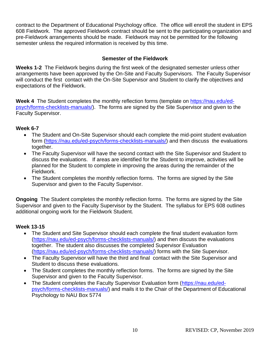contract to the Department of Educational Psychology office. The office will enroll the student in EPS 608 Fieldwork. The approved Fieldwork contract should be sent to the participating organization and pre-Fieldwork arrangements should be made. Fieldwork may not be permitted for the following semester unless the required information is received by this time.

#### **Semester of the Fieldwork**

**Weeks 1-2**The Fieldwork begins during the first week of the designated semester unless other arrangements have been approved by the On-Site and Faculty Supervisors. The Faculty Supervisor will conduct the first contact with the On-Site Supervisor and Student to clarify the objectives and expectations of the Fieldwork.

**Week 4**The Student completes the monthly reflection forms (template on [https://nau.edu/ed](https://nau.edu/ed-psych/forms-checklists-manuals/)[psych/forms-checklists-manuals/\)](https://nau.edu/ed-psych/forms-checklists-manuals/). The forms are signed by the Site Supervisor and given to the Faculty Supervisor.

#### **Week 6-7**

- The Student and On-Site Supervisor should each complete the mid-point student evaluation form [\(https://nau.edu/ed-psych/forms-checklists-manuals/\)](https://nau.edu/ed-psych/forms-checklists-manuals/) and then discuss the evaluations together.
- The Faculty Supervisor will have the second contact with the Site Supervisor and Student to discuss the evaluations. If areas are identified for the Student to improve, activities will be planned for the Student to complete in improving the areas during the remainder of the Fieldwork.
- The Student completes the monthly reflection forms. The forms are signed by the Site Supervisor and given to the Faculty Supervisor.

**Ongoing**The Student completes the monthly reflection forms. The forms are signed by the Site Supervisor and given to the Faculty Supervisor by the Student. The syllabus for EPS 608 outlines additional ongoing work for the Fieldwork Student.

#### **Week 13-15**

- The Student and Site Supervisor should each complete the final student evaluation form [\(https://nau.edu/ed-psych/forms-checklists-manuals/\)](https://nau.edu/ed-psych/forms-checklists-manuals/) and then discuss the evaluations together. The student also discusses the completed Supervisor Evaluation [\(https://nau.edu/ed-psych/forms-checklists-manuals/\)](https://nau.edu/ed-psych/forms-checklists-manuals/) forms with the Site Supervisor.
- The Faculty Supervisor will have the third and final contact with the Site Supervisor and Student to discuss these evaluations.
- The Student completes the monthly reflection forms. The forms are signed by the Site Supervisor and given to the Faculty Supervisor.
- The Student completes the Faculty Supervisor Evaluation form [\(https://nau.edu/ed](https://nau.edu/ed-psych/forms-checklists-manuals/)[psych/forms-checklists-manuals/\)](https://nau.edu/ed-psych/forms-checklists-manuals/) and mails it to the Chair of the Department of Educational Psychology to NAU Box 5774